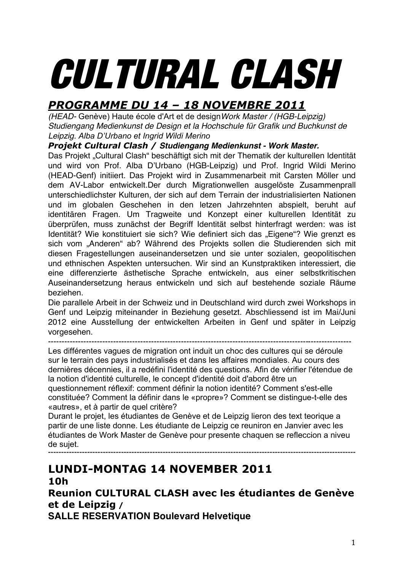# CULTURAL CLASH

# *PROGRAMME DU 14 – 18 NOVEMBRE 2011*

*(HEAD-* Genève) Haute école d'Art et de design*Work Master / (HGB-Leipzig) Studiengang Medienkunst de Design et la Hochschule für Grafik und Buchkunst de Leipzig. Alba D'Urbano et Ingrid Wildi Merino*

#### *Projekt Cultural Clash / Studiengang Medienkunst - Work Master.*

Das Projekt "Cultural Clash" beschäftigt sich mit der Thematik der kulturellen Identität und wird von Prof. Alba D'Urbano (HGB-Leipzig) und Prof. Ingrid Wildi Merino (HEAD-Genf) initiiert. Das Projekt wird in Zusammenarbeit mit Carsten Möller und dem AV-Labor entwickelt.Der durch Migrationwellen ausgelöste Zusammenprall unterschiedlichster Kulturen, der sich auf dem Terrain der industrialisierten Nationen und im globalen Geschehen in den letzen Jahrzehnten abspielt, beruht auf identitären Fragen. Um Tragweite und Konzept einer kulturellen Identität zu überprüfen, muss zunächst der Begriff Identität selbst hinterfragt werden: was ist Identität? Wie konstituiert sie sich? Wie definiert sich das "Eigene"? Wie grenzt es sich vom "Anderen" ab? Während des Projekts sollen die Studierenden sich mit diesen Fragestellungen auseinandersetzen und sie unter sozialen, geopolitischen und ethnischen Aspekten untersuchen. Wir sind an Kunstpraktiken interessiert, die eine differenzierte ästhetische Sprache entwickeln, aus einer selbstkritischen Auseinandersetzung heraus entwickeln und sich auf bestehende soziale Räume beziehen.

Die parallele Arbeit in der Schweiz und in Deutschland wird durch zwei Workshops in Genf und Leipzig miteinander in Beziehung gesetzt. Abschliessend ist im Mai/Juni 2012 eine Ausstellung der entwickelten Arbeiten in Genf und später in Leipzig vorgesehen.

----------------------------------------------------------------------------------------------------------------

Les différentes vagues de migration ont induit un choc des cultures qui se déroule sur le terrain des pays industrialisés et dans les affaires mondiales. Au cours des dernières décennies, il a redéfini l'identité des questions. Afin de vérifier l'étendue de la notion d'identité culturelle, le concept d'identité doit d'abord être un

questionnement réflexif: comment définir la notion identité? Comment s'est-elle constituée? Comment la définir dans le «propre»? Comment se distingue-t-elle des «autres», et à partir de quel critère?

Durant le projet, les étudiantes de Genève et de Leipzig lieron des text teorique a partir de une liste donne. Les étudiante de Leipzig ce reuniron en Janvier avec les étudiantes de Work Master de Genève pour presente chaquen se refleccion a niveu de sujet.

**----------------------------------------------------------------------------------------------------------------------**

# **LUNDI-MONTAG 14 NOVEMBER 2011 10h**

**Reunion CULTURAL CLASH avec les étudiantes de Genève et de Leipzig /** 

**SALLE RESERVATION Boulevard Helvetique**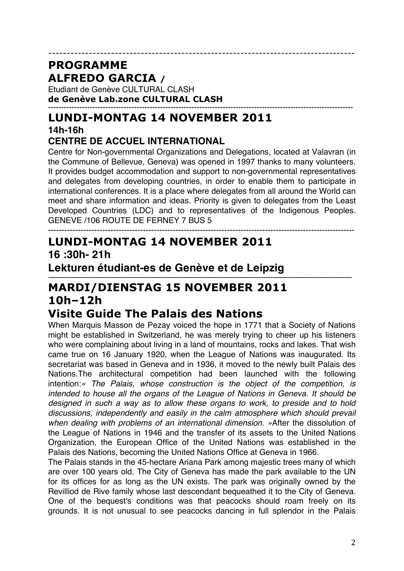Etudiant de Genève CULTURAL CLASH **de Genève Lab.zone CULTURAL CLASH ---------------------------------------------------------------------------------------------------------------------**

# **LUNDI-MONTAG 14 NOVEMBER 2011**

# **14h-16h**

## **CENTRE DE ACCUEL INTERNATIONAL**

Centre for Non-governmental Organizations and Delegations, located at Valavran (in the Commune of Bellevue, Geneva) was opened in 1997 thanks to many volunteers. It provides budget accommodation and support to non-governmental representatives and delegates from developing countries, in order to enable them to participate in international conferences. It is a place where delegates from all around the World can meet and share information and ideas. Priority is given to delegates from the Least Developed Countries (LDC) and to representatives of the Indigenous Peoples. GENEVE /106 ROUTE DE FERNEY 7 BUS 5

-----------------------------------------------------------------------------------

## ----------------------------------------------------------------------------------------------------------------- **LUNDI-MONTAG 14 NOVEMBER 2011 16 :30h- 21h**

**Lekturen étudiant-es de Genève et de Leipzig**

#### *------------------------------------------------------------------------------------------------------------------------------------------------------------------------* **MARDI/DIENSTAG 15 NOVEMBER 2011 10h–12h Visite Guide The Palais des Nations**

When Marquis Masson de Pezay voiced the hope in 1771 that a Society of Nations might be established in Switzerland, he was merely trying to cheer up his listeners who were complaining about living in a land of mountains, rocks and lakes. That wish came true on 16 January 1920, when the League of Nations was inaugurated. Its secretariat was based in Geneva and in 1936, it moved to the newly built Palais des Nations.The architectural competition had been launched with the following intention:*« The Palais, whose construction is the object of the competition, is intended to house all the organs of the League of Nations in Geneva. It should be designed in such a way as to allow these organs to work, to preside and to hold discussions, independently and easily in the calm atmosphere which should prevail when dealing with problems of an international dimension. »*After the dissolution of the League of Nations in 1946 and the transfer of its assets to the United Nations Organization, the European Office of the United Nations was established in the Palais des Nations, becoming the United Nations Office at Geneva in 1966.

The Palais stands in the 45-hectare Ariana Park among majestic trees many of which are over 100 years old. The City of Geneva has made the park available to the UN for its offices for as long as the UN exists. The park was originally owned by the Revilliod de Rive family whose last descendant bequeathed it to the City of Geneva. One of the bequest's conditions was that peacocks should roam freely on its grounds. It is not unusual to see peacocks dancing in full splendor in the Palais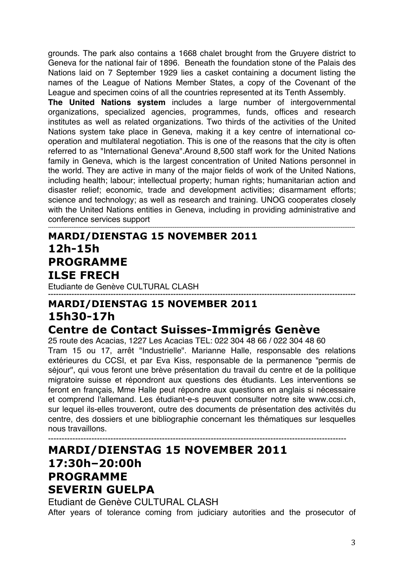grounds. The park also contains a 1668 chalet brought from the Gruyere district to Geneva for the national fair of 1896. Beneath the foundation stone of the Palais des Nations laid on 7 September 1929 lies a casket containing a document listing the names of the League of Nations Member States, a copy of the Covenant of the League and specimen coins of all the countries represented at its Tenth Assembly.

**The United Nations system** includes a large number of intergovernmental organizations, specialized agencies, programmes, funds, offices and research institutes as well as related organizations. Two thirds of the activities of the United Nations system take place in Geneva, making it a key centre of international cooperation and multilateral negotiation. This is one of the reasons that the city is often referred to as "International Geneva".Around 8,500 staff work for the United Nations family in Geneva, which is the largest concentration of United Nations personnel in the world. They are active in many of the major fields of work of the United Nations, including health; labour; intellectual property; human rights; humanitarian action and disaster relief; economic, trade and development activities; disarmament efforts; science and technology; as well as research and training. UNOG cooperates closely with the United Nations entities in Geneva, including in providing administrative and conference services support

--------------------------------------------------------------------------------------------------------------------------------------------------------------------------

# **MARDI/DIENSTAG 15 NOVEMBER 2011 12h-15h PROGRAMME ILSE FRECH**

Etudiante de Genève CULTURAL CLASH

#### **---------------------------------------------------------------------------------------------------------------------- MARDI/DIENSTAG 15 NOVEMBER 2011 15h30-17h Centre de Contact Suisses-Immigrés Genève**

25 route des Acacias, 1227 Les Acacias TEL: 022 304 48 66 / 022 304 48 60 Tram 15 ou 17, arrêt "Industrielle". Marianne Halle, responsable des relations extérieures du CCSI, et par Eva Kiss, responsable de la permanence "permis de séjour", qui vous feront une brève présentation du travail du centre et de la politique migratoire suisse et répondront aux questions des étudiants. Les interventions se feront en français, Mme Halle peut répondre aux questions en anglais si nécessaire et comprend l'allemand. Les étudiant-e-s peuvent consulter notre site www.ccsi.ch, sur lequel ils-elles trouveront, outre des documents de présentation des activités du centre, des dossiers et une bibliographie concernant les thématiques sur lesquelles nous travaillons.

## -------------------------------------------------------------------------------------------------------------- **MARDI/DIENSTAG 15 NOVEMBER 2011 17:30h–20:00h PROGRAMME SEVERIN GUELPA**

Etudiant de Genève CULTURAL CLASH After years of tolerance coming from judiciary autorities and the prosecutor of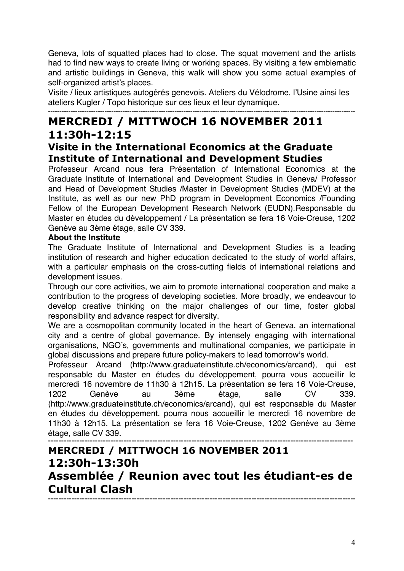Geneva, lots of squatted places had to close. The squat movement and the artists had to find new ways to create living or working spaces. By visiting a few emblematic and artistic buildings in Geneva, this walk will show you some actual examples of self-organized artist's places.

Visite / lieux artistiques autogérés genevois. Ateliers du Vélodrome, l'Usine ainsi les ateliers Kugler / Topo historique sur ces lieux et leur dynamique.

## ---------------------------------------------------------------------------------------------------------------------------------------- **MERCREDI / MITTWOCH 16 NOVEMBER 2011 11:30h-12:15**

#### **Visite in the International Economics at the Graduate Institute of International and Development Studies**

Professeur Arcand nous fera Présentation of International Economics at the Graduate Institute of International and Development Studies in Geneva/ Professor and Head of Development Studies /Master in Development Studies (MDEV) at the Institute, as well as our new PhD program in Development Economics /Founding Fellow of the European Development Research Network (EUDN).Responsable du Master en études du développement / La présentation se fera 16 Voie-Creuse, 1202 Genève au 3ème étage, salle CV 339.

#### **About the Institute**

The Graduate Institute of International and Development Studies is a leading institution of research and higher education dedicated to the study of world affairs, with a particular emphasis on the cross-cutting fields of international relations and development issues.

Through our core activities, we aim to promote international cooperation and make a contribution to the progress of developing societies. More broadly, we endeavour to develop creative thinking on the major challenges of our time, foster global responsibility and advance respect for diversity.

We are a cosmopolitan community located in the heart of Geneva, an international city and a centre of global governance. By intensely engaging with international organisations, NGO's, governments and multinational companies, we participate in global discussions and prepare future policy-makers to lead tomorrow's world.

Professeur Arcand (http://www.graduateinstitute.ch/economics/arcand), qui est responsable du Master en études du développement, pourra vous accueillir le mercredi 16 novembre de 11h30 à 12h15. La présentation se fera 16 Voie-Creuse, 1202 Genève au 3ème étage, salle CV 339. (http://www.graduateinstitute.ch/economics/arcand), qui est responsable du Master en études du développement, pourra nous accueillir le mercredi 16 novembre de 11h30 à 12h15. La présentation se fera 16 Voie-Creuse, 1202 Genève au 3ème étage, salle CV 339.

**--------------------------------------------------------------------------------------------------------------------- MERCREDI / MITTWOCH 16 NOVEMBER 2011**

# **12:30h-13:30h Assemblée / Reunion avec tout les étudiant-es de Cultural Clash ----------------------------------------------------------------------------------------------------------------------**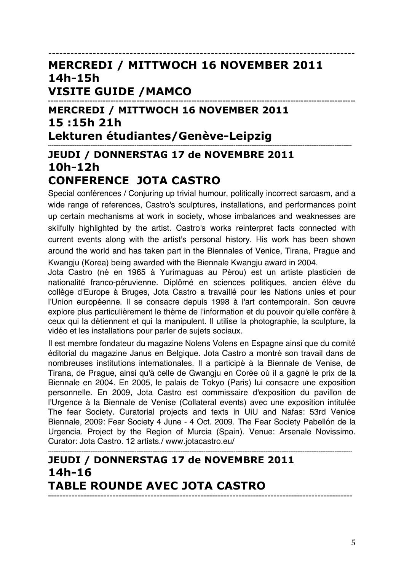-----------------------------------------------------------------------------------

## **MERCREDI / MITTWOCH 16 NOVEMBER 2011 14h-15h VISITE GUIDE /MAMCO**

**---------------------------------------------------------------------------------------------------------------------- MERCREDI / MITTWOCH 16 NOVEMBER 2011 15 :15h 21h Lekturen étudiantes/Genève-Leipzig** 

#### **---------------------------------------------------------------------------------------------------------------------------------------------------------------------------- JEUDI / DONNERSTAG 17 de NOVEMBRE 2011 10h-12h CONFERENCE JOTA CASTRO**

Special conférences / Conjuring up trivial humour, politically incorrect sarcasm, and a wide range of references, Castro's sculptures, installations, and performances point up certain mechanisms at work in society, whose imbalances and weaknesses are skilfully highlighted by the artist. Castro's works reinterpret facts connected with current events along with the artist's personal history. His work has been shown around the world and has taken part in the Biennales of Venice, Tirana, Prague and Kwangju (Korea) being awarded with the Biennale Kwangju award in 2004.

Jota Castro (né en 1965 à Yurimaguas au Pérou) est un artiste plasticien de nationalité franco-péruvienne. Diplômé en sciences politiques, ancien élève du collège d'Europe à Bruges, Jota Castro a travaillé pour les Nations unies et pour l'Union européenne. Il se consacre depuis 1998 à l'art contemporain. Son œuvre explore plus particulièrement le thème de l'information et du pouvoir qu'elle confère à ceux qui la détiennent et qui la manipulent. Il utilise la photographie, la sculpture, la vidéo et les installations pour parler de sujets sociaux.

Il est membre fondateur du magazine Nolens Volens en Espagne ainsi que du comité éditorial du magazine Janus en Belgique. Jota Castro a montré son travail dans de nombreuses institutions internationales. Il a participé à la Biennale de Venise, de Tirana, de Prague, ainsi qu'à celle de Gwangju en Corée où il a gagné le prix de la Biennale en 2004. En 2005, le palais de Tokyo (Paris) lui consacre une exposition personnelle. En 2009, Jota Castro est commissaire d'exposition du pavillon de l'Urgence à la Biennale de Venise (Collateral events) avec une exposition intitulée The fear Society. Curatorial projects and texts in UiU and Nafas: 53rd Venice Biennale, 2009: Fear Society 4 June - 4 Oct. 2009. The Fear Society Pabellón de la Urgencia. Project by the Region of Murcia (Spain). Venue: Arsenale Novissimo. Curator: Jota Castro. 12 artists./ www.jotacastro.eu/

#### **---------------------------------------------------------------------------------------------------------------------------------------------------------------------------- JEUDI / DONNERSTAG 17 de NOVEMBRE 2011 14h-16 TABLE ROUNDE AVEC JOTA CASTRO --------------------------------------------------------------------------------------------------------**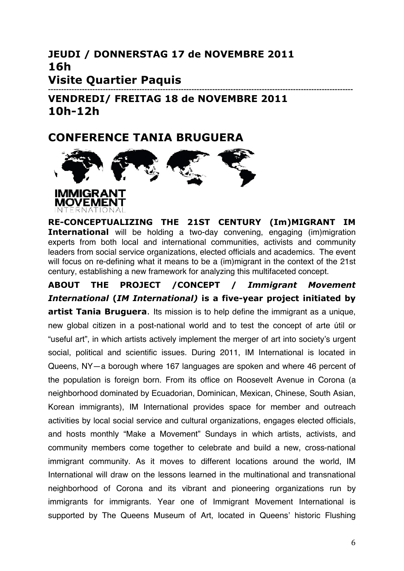#### **JEUDI / DONNERSTAG 17 de NOVEMBRE 2011 16h Visite Quartier Paquis --------------------------------------------------------------------------------------------------------------------- VENDREDI/ FREITAG 18 de NOVEMBRE 2011 10h-12h**

## **CONFERENCE TANIA BRUGUERA**



**RE-CONCEPTUALIZING THE 21ST CENTURY (Im)MIGRANT IM International** will be holding a two-day convening, engaging (im)migration experts from both local and international communities, activists and community leaders from social service organizations, elected officials and academics. The event will focus on re-defining what it means to be a (im)migrant in the context of the 21st century, establishing a new framework for analyzing this multifaceted concept.

**ABOUT THE PROJECT /CONCEPT /** *Immigrant Movement International* **(***IM International)* **is a five-year project initiated by artist Tania Bruguera**. Its mission is to help define the immigrant as a unique, new global citizen in a post-national world and to test the concept of arte útil or "useful art", in which artists actively implement the merger of art into society's urgent social, political and scientific issues. During 2011, IM International is located in Queens, NY—a borough where 167 languages are spoken and where 46 percent of the population is foreign born. From its office on Roosevelt Avenue in Corona (a neighborhood dominated by Ecuadorian, Dominican, Mexican, Chinese, South Asian, Korean immigrants), IM International provides space for member and outreach activities by local social service and cultural organizations, engages elected officials, and hosts monthly "Make a Movement" Sundays in which artists, activists, and community members come together to celebrate and build a new, cross-national immigrant community. As it moves to different locations around the world, IM International will draw on the lessons learned in the multinational and transnational neighborhood of Corona and its vibrant and pioneering organizations run by immigrants for immigrants. Year one of Immigrant Movement International is supported by The Queens Museum of Art, located in Queens' historic Flushing